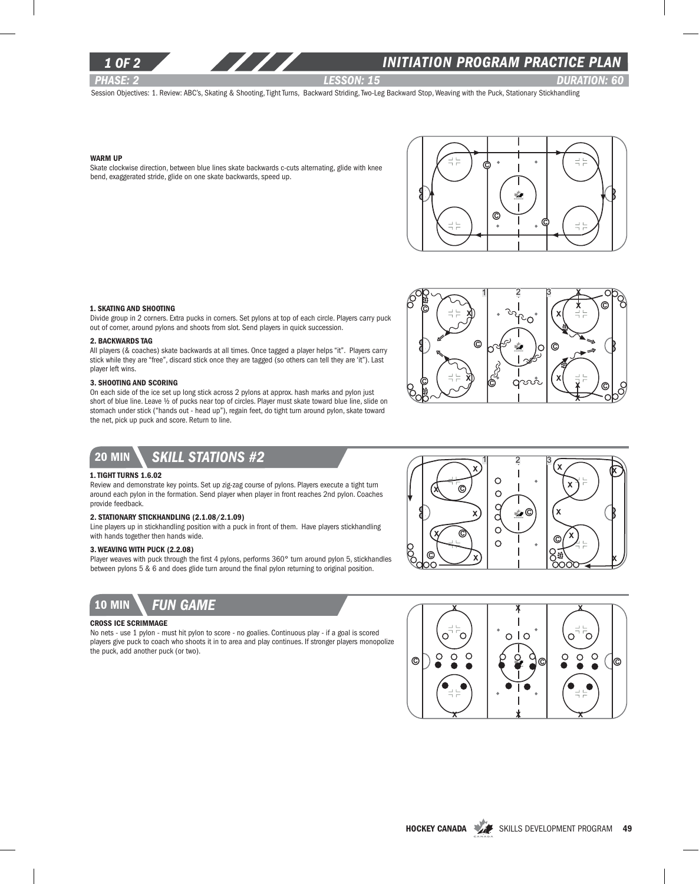

### *1 of 2 INITIATION program PRACTICE PLAN*

*PHASE: 2 Lesson: 15 DURATION: 60* 

 $x \wedge x$ 

κ

X

Œ

Ŵ.

 $1 \quad 2 \quad 3$ 

 $\circ$  $\circ$ C

C  $\circ$  $\circ$ 

C

X

X

Session Objectives: 1. Review: ABC's, Skating & Shooting, Tight Turns, Backward Striding, Two-Leg Backward Stop, Weaving with the Puck, Stationary Stickhandling

#### Warm Up

Skate clockwise direction, between blue lines skate backwards c-cuts alternating, glide with knee bend, exaggerated stride, glide on one skate backwards, speed up.



#### 1. Skating and Shooting

Divide group in 2 corners. Extra pucks in corners. Set pylons at top of each circle. Players carry puck out of corner, around pylons and shoots from slot. Send players in quick succession.

#### 2. Backwards Tag

All players (& coaches) skate backwards at all times. Once tagged a player helps "it". Players carry stick while they are "free", discard stick once they are tagged (so others can tell they are 'it"). Last player left wins.

#### 3. Shooting and Scoring

On each side of the ice set up long stick across 2 pylons at approx. hash marks and pylon just short of blue line. Leave ½ of pucks near top of circles. Player must skate toward blue line, slide on stomach under stick ("hands out - head up"), regain feet, do tight turn around pylon, skate toward the net, pick up puck and score. Return to line.



# 20 min *skill stations #2*

#### 1. Tight Turns 1.6.02

Review and demonstrate key points. Set up zig-zag course of pylons. Players execute a tight turn around each pylon in the formation. Send player when player in front reaches 2nd pylon. Coaches provide feedback.

#### 2. Stationary Stickhandling (2.1.08/2.1.09)

Line players up in stickhandling position with a puck in front of them. Have players stickhandling with hands together then hands wide.

#### 3. Weaving with puck (2.2.08)

Player weaves with puck through the first 4 pylons, performs 360° turn around pylon 5, stickhandles between pylons 5 & 6 and does glide turn around the final pylon returning to original position.



### Cross Ice Scrimmage

No nets - use 1 pylon - must hit pylon to score - no goalies. Continuous play - if a goal is scored players give puck to coach who shoots it in to area and play continues. If stronger players monopolize the puck, add another puck (or two).



©∖ ⁄x

C

C

χ

X

X

X